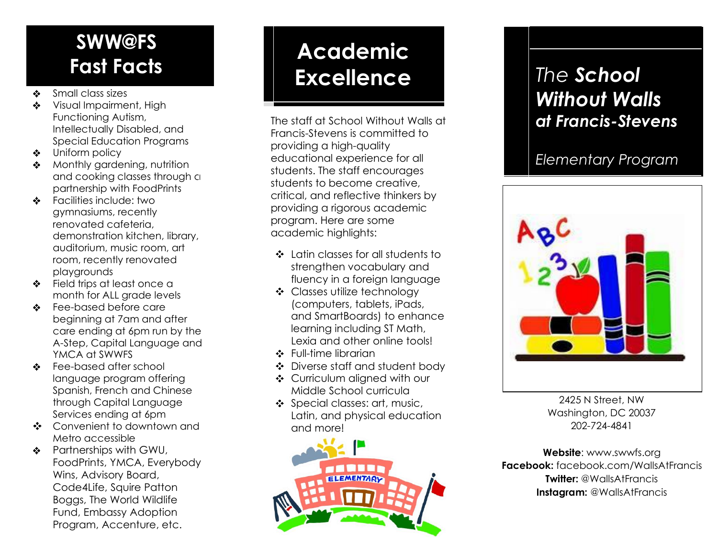# **SWW@FS**

- $\clubsuit$ Small class sizes
- $\mathbf{r}$ Visual Impairment, High Functioning Autism, Intellectually Disabled, and Special Education Programs
- Uniform policy
- Monthly gardening, nutrition  $\bullet$ and cooking classes through a partnership with FoodPrints
- Facilities include: two  $\frac{1}{2}$ gymnasiums, recently renovated cafeteria, demonstration kitchen, library, auditorium, music room, art room, recently renovated playgrounds
- Field trips at least once a month for ALL grade levels
- Fee-based before care beginning at 7am and after care ending at 6pm run by the A-Step, Capital Language and YMCA at SWWFS
- Fee-based after school  $\bullet$ language program offering Spanish, French and Chinese through Capital Language Services ending at 6pm
- Convenient to downtown and Metro accessible
- ❖ Partnerships with GWU, FoodPrints, YMCA, Everybody Wins, Advisory Board, Code4Life, Squire Patton Boggs, The World Wildlife Fund, Embassy Adoption Program, Accenture, etc.

# **Academic Fast Facts Academic Excellence** *The School*  **Excellence**

The staff at School Without Walls at Francis-Stevens is committed to providing a high-quality educational experience for all students. The staff encourages students to become creative, critical, and reflective thinkers by providing a rigorous academic program. Here are some academic highlights:

- Latin classes for all students to strengthen vocabulary and fluency in a foreign language
- Classes utilize technology (computers, tablets, iPads, and SmartBoards) to enhance learning including ST Math, Lexia and other online tools!
- ❖ Full-time librarian
- Diverse staff and student body
- Curriculum aligned with our Middle School curricula
- Special classes: art, music, Latin, and physical education and more!



# *Without Walls at Francis-Stevens*

#### *Elementary Program*



2425 N Street, NW Washington, DC 20037 202-724-4841

**Website**: www.swwfs.org **Facebook:** facebook.com/WallsAtFrancis **Twitter:** @WallsAtFrancis **Instagram: @WallsAtFrancis**